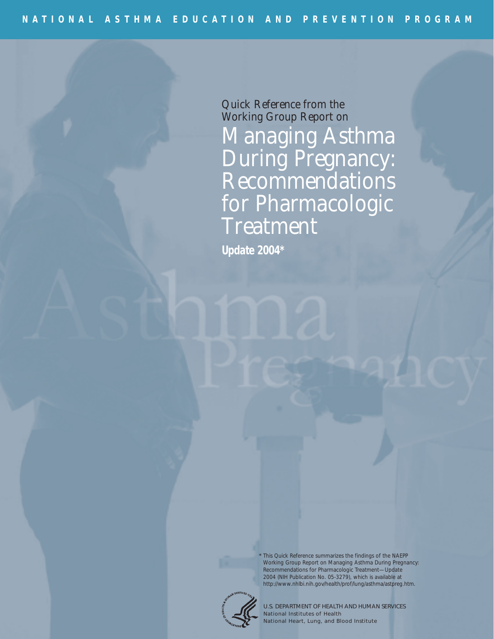Quick Reference from the Working Group Report on Managing Asthma During Pregnancy: Recommendations for Pharmacologic **Treatment** 

**Update 2004\***

\* This *Quick Reference* summarizes the findings of the *NAEPP Working Group Report on Managing Asthma During Pregnancy: Recommendations for Pharmacologic Treatment—Update 2004* (NIH Publication No. 05-3279), which is available at http://www.nhlbi.nih.gov/health/prof/lung/asthma/astpreg.htm.



U.S. DEPARTMENT OF HEALTH AND HUMAN SERVICES National Institutes of Health National Heart, Lung, and Blood Institute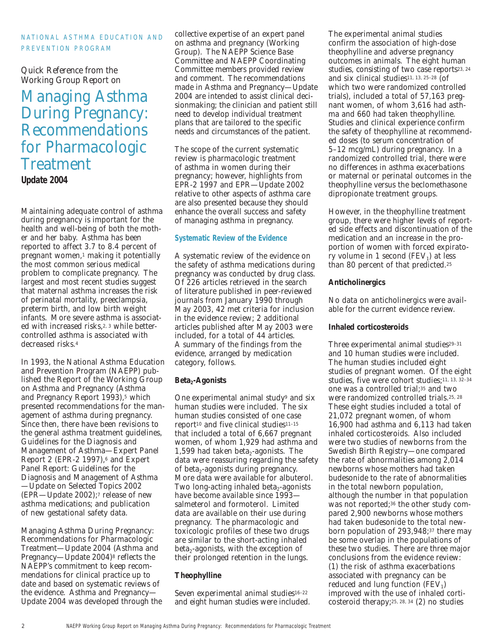## NATIONAL ASTHMA EDUCATION AND PREVENTION PROGRAM

Quick Reference from the Working Group Report on

## **Update 2004** Managing Asthma During Pregnancy: **Recommendations** for Pharmacologic Treatment

Maintaining adequate control of asthma during pregnancy is important for the health and well-being of both the mother and her baby. Asthma has been reported to affect 3.7 to 8.4 percent of pregnant women, $1$  making it potentially the most common serious medical problem to complicate pregnancy. The largest and most recent studies suggest that maternal asthma increases the risk of perinatal mortality, preeclampsia, preterm birth, and low birth weight infants. More severe asthma is associated with increased risks, 2, 3 while bettercontrolled asthma is associated with decreased risks.4

In 1993, the National Asthma Education and Prevention Program (NAEPP) published the *Report of the Working Group on Asthma and Pregnancy* (Asthma and Pregnancy Report 1993),<sup>5</sup> which presented recommendations for the management of asthma during pregnancy. Since then, there have been revisions to the general asthma treatment guidelines, *Guidelines for the Diagnosis and Management of Asthma—Expert Panel Report 2* (EPR-2 1997),6 and *Expert Panel Report: Guidelines for the Diagnosis and Management of Asthma —Update on Selected Topics 2002* (EPR—Update 2002);7 release of new asthma medications; and publication of new gestational safety data.

*Managing Asthma During Pregnancy: Recommendations for Pharmacologic Treatment—Update 2004* (Asthma and Pregnancy—Update 2004)8 reflects the NAEPP's commitment to keep recommendations for clinical practice up to date and based on systematic reviews of the evidence. Asthma and Pregnancy— Update 2004 was developed through the collective expertise of an expert panel on asthma and pregnancy (Working Group). The NAEPP Science Base Committee and NAEPP Coordinating Committee members provided review and comment. The recommendations made in Asthma and Pregnancy—Update 2004 are intended to *assist* clinical decisionmaking; the clinician and patient still need to develop individual treatment plans that are tailored to the specific needs and circumstances of the patient.

The scope of the current systematic review is pharmacologic treatment of asthma in women during their pregnancy; however, highlights from EPR-2 1997 and EPR—Update 2002 relative to other aspects of asthma care are also presented because they should enhance the overall success and safety of managing asthma in pregnancy.

#### **Systematic Review of the Evidence**

A systematic review of the evidence on the safety of asthma medications during pregnancy was conducted by drug class. Of 226 articles retrieved in the search of literature published in peer-reviewed journals from January 1990 through May 2003, 42 met criteria for inclusion in the evidence review; 2 additional articles published after May 2003 were included, for a total of 44 articles. A summary of the findings from the evidence, arranged by medication category, follows.

#### Beta<sub>2</sub>-Agonists

One experimental animal study<sup>9</sup> and six human studies were included. The six human studies consisted of one case report<sup>10</sup> and five clinical studies<sup>11-15</sup> that included a total of 6,667 pregnant women, of whom 1,929 had asthma and 1,599 had taken beta<sub>2</sub>-agonists. The data were reassuring regarding the safety of beta $_2$ -agonists during pregnancy. More data were available for albuterol. Two long-acting inhaled beta $_2$ -agonists have become available since 1993 salmeterol and formoterol. Limited data are available on their use during pregnancy. The pharmacologic and toxicologic profiles of these two drugs are similar to the short-acting inhaled  $beta_2$ -agonists, with the exception of their prolonged retention in the lungs.

## **Theophylline**

Seven experimental animal studies<sup>16-22</sup> and eight human studies were included. The experimental animal studies confirm the association of high-dose theophylline and adverse pregnancy outcomes in animals. The eight human studies, consisting of two case reports<sup>23, 24</sup> and six clinical studies11, 13, 25–28 (of which two were randomized controlled trials), included a total of 57,163 pregnant women, of whom 3,616 had asthma and 660 had taken theophylline. Studies and clinical experience confirm the safety of theophylline at recommended doses (to serum concentration of 5–12 mcg/mL) during pregnancy. In a randomized controlled trial, there were no differences in asthma exacerbations or maternal or perinatal outcomes in the theophylline versus the beclomethasone dipropionate treatment groups.

However, in the theophylline treatment group, there were higher levels of reported side effects and discontinuation of the medication and an increase in the proportion of women with forced expiratory volume in 1 second  $(FEV_1)$  at less than 80 percent of that predicted.25

#### **Anticholinergics**

No data on anticholinergics were available for the current evidence review.

#### **Inhaled corticosteroids**

Three experimental animal studies<sup>29-31</sup> and 10 human studies were included. The human studies included eight studies of pregnant women. Of the eight studies, five were cohort studies;11, 13, 32–34 one was a controlled trial;35 and two were randomized controlled trials.25, 28 These eight studies included a total of 21,072 pregnant women, of whom 16,900 had asthma and 6,113 had taken inhaled corticosteroids. Also included were two studies of newborns from the Swedish Birth Registry—one compared the rate of abnormalities among 2,014 newborns whose mothers had taken budesonide to the rate of abnormalities in the total newborn population, although the number in that population was not reported;<sup>36</sup> the other study compared 2,900 newborns whose mothers had taken budesonide to the total newborn population of 293,948;<sup>37</sup> there may be some overlap in the populations of these two studies. There are three major conclusions from the evidence review: (1) the risk of asthma exacerbations associated with pregnancy can be reduced and lung function  $(FEV_1)$ improved with the use of inhaled corticosteroid therapy;25, 28, 34 (2) no studies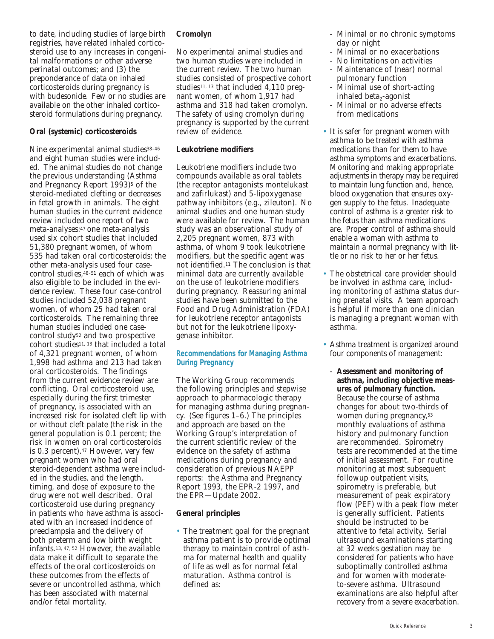to date, including studies of large birth registries, have related inhaled corticosteroid use to any increases in congenital malformations or other adverse perinatal outcomes; and (3) the preponderance of data on inhaled corticosteroids during pregnancy is with budesonide. Few or no studies are available on the other inhaled corticosteroid formulations during pregnancy.

## **Oral (systemic) corticosteroids**

Nine experimental animal studies<sup>38-46</sup> and eight human studies were included. The animal studies do not change the previous understanding (Asthma and Pregnancy Report 1993)<sup>5</sup> of the steroid-mediated clefting or decreases in fetal growth in animals. The eight human studies in the current evidence review included one report of two meta-analyses:47 one meta-analysis used six cohort studies that included 51,380 pregnant women, of whom 535 had taken oral corticosteroids; the other meta-analysis used four casecontrol studies,48–51 each of which was also eligible to be included in the evidence review. These four case-control studies included 52,038 pregnant women, of whom 25 had taken oral corticosteroids. The remaining three human studies included one casecontrol study52 and two prospective cohort studies<sup>11, 13</sup> that included a total of 4,321 pregnant women, of whom 1,998 had asthma and 213 had taken oral corticosteroids. The findings from the current evidence review are conflicting. Oral corticosteroid use, especially during the first trimester of pregnancy, is associated with an increased risk for isolated cleft lip with or without cleft palate (the risk in the general population is 0.1 percent; the risk in women on oral corticosteroids is 0.3 percent).47 However, very few pregnant women who had oral steroid-dependent asthma were included in the studies, and the length, timing, and dose of exposure to the drug were not well described. Oral corticosteroid use during pregnancy in patients who have asthma is associated with an increased incidence of preeclampsia and the delivery of both preterm and low birth weight infants.13, 47, 52 However, the available data make it difficult to separate the effects of the oral corticosteroids on these outcomes from the effects of severe or uncontrolled asthma, which has been associated with maternal and/or fetal mortality.

## **Cromolyn**

No experimental animal studies and two human studies were included in the current review. The two human studies consisted of prospective cohort studies<sup>11, 13</sup> that included  $4,110$  pregnant women, of whom 1,917 had asthma and 318 had taken cromolyn. The safety of using cromolyn during pregnancy is supported by the current review of evidence.

#### **Leukotriene modifiers**

Leukotriene modifiers include two compounds available as oral tablets (the receptor antagonists montelukast and zafirlukast) and 5-lipoxygenase pathway inhibitors (e.g., zileuton). No animal studies and one human study were available for review. The human study was an observational study of 2,205 pregnant women, 873 with asthma, of whom 9 took leukotriene modifiers, but the specific agent was not identified.11 The conclusion is that minimal data are currently available on the use of leukotriene modifiers during pregnancy. Reassuring animal studies have been submitted to the Food and Drug Administration (FDA) for leukotriene receptor antagonists but not for the leukotriene lipoxygenase inhibitor.

## **Recommendations for Managing Asthma During Pregnancy**

The Working Group recommends the following principles and stepwise approach to pharmacologic therapy for managing asthma during pregnancy. (See figures 1–6.) The principles and approach are based on the Working Group's interpretation of the current scientific review of the evidence on the safety of asthma medications during pregnancy and consideration of previous NAEPP reports: the Asthma and Pregnancy Report 1993, the EPR-2 1997, and the EPR—Update 2002.

## **General principles**

• The treatment goal for the pregnant asthma patient is to provide optimal therapy to maintain control of asthma for maternal health and quality of life as well as for normal fetal maturation. Asthma control is defined as:

- Minimal or no chronic symptoms day or night
- Minimal or no exacerbations
- No limitations on activities
- Maintenance of (near) normal pulmonary function
- Minimal use of short-acting inhaled beta $2$ -agonist
- Minimal or no adverse effects from medications
- It is safer for pregnant women with asthma to be treated with asthma medications than for them to have asthma symptoms and exacerbations. Monitoring and making appropriate adjustments in therapy may be required to maintain lung function and, hence, blood oxygenation that ensures oxygen supply to the fetus. Inadequate control of asthma is a greater risk to the fetus than asthma medications are. Proper control of asthma should enable a woman with asthma to maintain a normal pregnancy with little or no risk to her or her fetus.
- The obstetrical care provider should be involved in asthma care, including monitoring of asthma status during prenatal visits. A team approach is helpful if more than one clinician is managing a pregnant woman with asthma.
- Asthma treatment is organized around four components of management:
	- **Assessment and monitoring of asthma, including objective measures of pulmonary function.**  Because the course of asthma changes for about two-thirds of women during pregnancy, 53 monthly evaluations of asthma history and pulmonary function are recommended. Spirometry tests are recommended at the time of initial assessment. For routine monitoring at most subsequent followup outpatient visits, spirometry is preferable, but measurement of peak expiratory flow (PEF) with a peak flow meter is generally sufficient. Patients should be instructed to be attentive to fetal activity. Serial ultrasound examinations starting at 32 weeks gestation may be considered for patients who have suboptimally controlled asthma and for women with moderateto-severe asthma. Ultrasound examinations are also helpful after recovery from a severe exacerbation.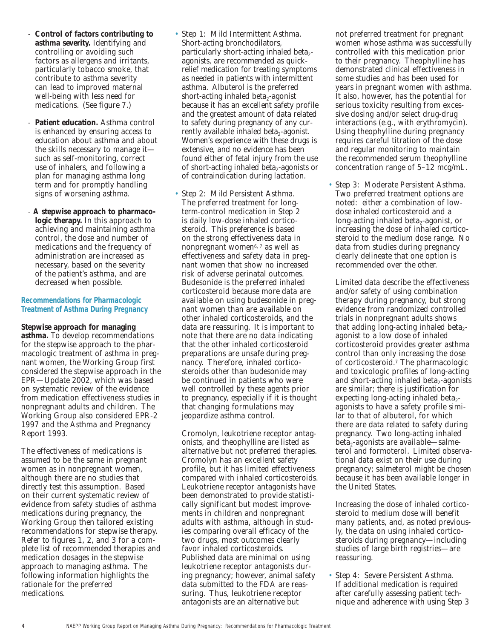- **Control of factors contributing to asthma severity.** Identifying and controlling or avoiding such factors as allergens and irritants, particularly tobacco smoke, that contribute to asthma severity can lead to improved maternal well-being with less need for medications. (See figure 7.)
- **Patient education.** Asthma control is enhanced by ensuring access to education about asthma and about the skills necessary to manage it such as self-monitoring, correct use of inhalers, and following a plan for managing asthma long term and for promptly handling signs of worsening asthma.
- **A stepwise approach to pharmacologic therapy.** In this approach to achieving and maintaining asthma control, the dose and number of medications and the frequency of administration are increased as necessary, based on the severity of the patient's asthma, and are decreased when possible.

#### **Recommendations for Pharmacologic Treatment of Asthma During Pregnancy**

## **Stepwise approach for managing**

**asthma.** To develop recommendations for the stepwise approach to the pharmacologic treatment of asthma in pregnant women, the Working Group first considered the stepwise approach in the EPR—Update 2002, which was based on systematic review of the evidence from medication effectiveness studies in nonpregnant adults and children. The Working Group also considered EPR-2 1997 and the Asthma and Pregnancy Report 1993.

The effectiveness of medications is assumed to be the same in pregnant women as in nonpregnant women, although there are no studies that directly test this assumption. Based on their current systematic review of evidence from safety studies of asthma medications during pregnancy, the Working Group then tailored existing recommendations for stepwise therapy. Refer to figures 1, 2, and 3 for a complete list of recommended therapies and medication dosages in the stepwise approach to managing asthma. The following information highlights the rationale for the preferred medications.

- *Step 1: Mild Intermittent Asthma.* Short-acting bronchodilators, particularly short-acting inhaled beta<sub>2</sub>agonists, are recommended as quickrelief medication for treating symptoms as needed in patients with intermittent asthma. Albuterol is the preferred short-acting inhaled beta $_2$ -agonist because it has an excellent safety profile and the greatest amount of data related to safety during pregnancy of any currently available inhaled beta $2$ -agonist. Women's experience with these drugs is extensive, and no evidence has been found either of fetal injury from the use of short-acting inhaled beta $_2$ -agonists or of contraindication during lactation.
- S*tep 2: Mild Persistent Asthma.* The preferred treatment for longterm-control medication in Step 2 is daily low-dose inhaled corticosteroid. This preference is based on the strong effectiveness data in nonpregnant women6, 7 as well as effectiveness and safety data in pregnant women that show no increased risk of adverse perinatal outcomes. Budesonide is the preferred inhaled corticosteroid because more data are available on using budesonide in pregnant women than are available on other inhaled corticosteroids, and the data are reassuring. It is important to note that there are no data indicating that the other inhaled corticosteroid preparations are unsafe during pregnancy. Therefore, inhaled corticosteroids other than budesonide may be continued in patients who were well controlled by these agents prior to pregnancy, especially if it is thought that changing formulations may jeopardize asthma control.

Cromolyn, leukotriene receptor antagonists, and theophylline are listed as alternative but not preferred therapies. Cromolyn has an excellent safety profile, but it has limited effectiveness compared with inhaled corticosteroids. Leukotriene receptor antagonists have been demonstrated to provide statistically significant but modest improvements in children and nonpregnant adults with asthma, although in studies comparing overall efficacy of the two drugs, most outcomes clearly favor inhaled corticosteroids. Published data are minimal on using leukotriene receptor antagonists during pregnancy; however, animal safety data submitted to the FDA are reassuring. Thus, leukotriene receptor antagonists are an alternative but

not preferred treatment for pregnant women whose asthma was successfully controlled with this medication prior to their pregnancy. Theophylline has demonstrated clinical effectiveness in some studies and has been used for years in pregnant women with asthma. It also, however, has the potential for serious toxicity resulting from excessive dosing and/or select drug-drug interactions (e.g., with erythromycin). Using theophylline during pregnancy requires careful titration of the dose and regular monitoring to maintain the recommended serum theophylline concentration range of 5–12 mcg/mL.

• *Step 3: Moderate Persistent Asthma*. Two preferred treatment options are noted: either a combination of lowdose inhaled corticosteroid and a long-acting inhaled beta $_2$ -agonist, or increasing the dose of inhaled corticosteroid to the medium dose range. No data from studies during pregnancy clearly delineate that one option is recommended over the other.

Limited data describe the effectiveness and/or safety of using combination therapy during pregnancy, but strong evidence from randomized controlled trials in nonpregnant adults shows that adding long-acting inhaled beta $_{2}$ agonist to a low dose of inhaled corticosteroid provides greater asthma control than only increasing the dose of corticosteroid.7 The pharmacologic and toxicologic profiles of long-acting and short-acting inhaled beta<sub>2</sub>-agonists are similar; there is justification for expecting long-acting inhaled beta $_{2}$ agonists to have a safety profile similar to that of albuterol, for which there are data related to safety during pregnancy. Two long-acting inhaled beta<sub>2</sub>-agonists are available—salmeterol and formoterol. Limited observational data exist on their use during pregnancy; salmeterol might be chosen because it has been available longer in the United States.

Increasing the dose of inhaled corticosteroid to medium dose will benefit many patients, and, as noted previously, the data on using inhaled corticosteroids during pregnancy—including studies of large birth registries—are reassuring.

• *Step 4: Severe Persistent Asthma.* If additional medication is required after carefully assessing patient technique and adherence with using Step 3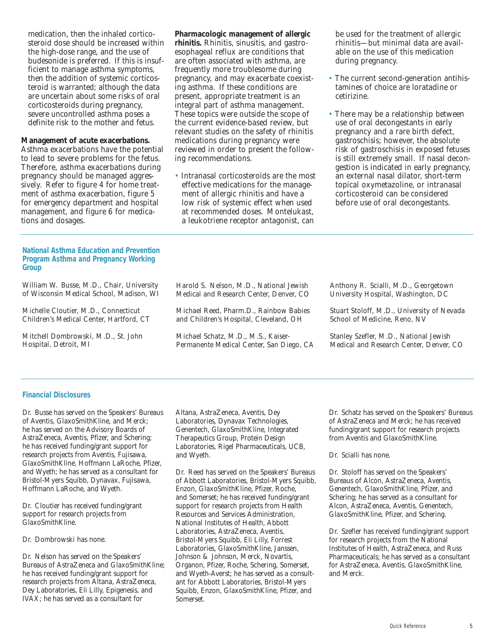medication, then the inhaled corticosteroid dose should be increased within the high-dose range, and the use of budesonide is preferred. If this is insufficient to manage asthma symptoms, then the addition of systemic corticosteroid is warranted; although the data are uncertain about some risks of oral corticosteroids during pregnancy, severe uncontrolled asthma poses a definite risk to the mother and fetus.

#### **Management of acute exacerbations.**

Asthma exacerbations have the potential to lead to severe problems for the fetus. Therefore, asthma exacerbations during pregnancy should be managed aggressively. Refer to figure 4 for home treatment of asthma exacerbation, figure 5 for emergency department and hospital management, and figure 6 for medications and dosages.

#### **Pharmacologic management of allergic rhinitis.** Rhinitis, sinusitis, and gastroesophageal reflux are conditions that are often associated with asthma, are frequently more troublesome during pregnancy, and may exacerbate coexisting asthma. If these conditions are present, appropriate treatment is an integral part of asthma management. These topics were outside the scope of the current evidence-based review, but relevant studies on the safety of rhinitis medications during pregnancy were reviewed in order to present the following recommendations.

• Intranasal corticosteroids are the most effective medications for the management of allergic rhinitis and have a low risk of systemic effect when used at recommended doses. Montelukast, a leukotriene receptor antagonist, can

be used for the treatment of allergic rhinitis—but minimal data are available on the use of this medication during pregnancy.

- The current second-generation antihistamines of choice are loratadine or cetirizine.
- There may be a relationship between use of oral decongestants in early pregnancy and a rare birth defect, gastroschisis; however, the absolute risk of gastroschisis in exposed fetuses is still extremely small. If nasal decongestion is indicated in early pregnancy, an external nasal dilator, short-term topical oxymetazoline, or intranasal corticosteroid can be considered before use of oral decongestants.

#### **National Asthma Education and Prevention Program Asthma and Pregnancy Working Group**

William W. Busse, M.D., *Chair*, *University of Wisconsin Medical School, Madison, WI*

Michelle Cloutier, M.D., *Connecticut Children's Medical Center, Hartford, CT*

Mitchell Dombrowski, M.D., *St. John Hospital, Detroit, MI*

Harold S. Nelson, M.D., *National Jewish Medical and Research Center, Denver, CO*

Michael Reed, Pharm.D., *Rainbow Babies and Children's Hospital, Cleveland, OH*

Michael Schatz, M.D., M.S., *Kaiser-Permanente Medical Center, San Diego, CA* Anthony R. Scialli, M.D., *Georgetown University Hospital, Washington, DC*

Stuart Stoloff, M.D., *University of Nevada School of Medicine, Reno, NV*

Stanley Szefler, M.D., *National Jewish Medical and Research Center, Denver, CO*

## **Financial Disclosures**

Dr. Busse has served on the Speakers' Bureaus of Aventis, GlaxoSmithKline, and Merck; he has served on the Advisory Boards of AstraZeneca, Aventis, Pfizer, and Schering; he has received funding/grant support for research projects from Aventis, Fujisawa, GlaxoSmithKline, Hoffmann LaRoche, Pfizer, and Wyeth; he has served as a consultant for Bristol-Myers Squibb, Dynavax, Fujisawa, Hoffmann LaRoche, and Wyeth.

Dr. Cloutier has received funding/grant support for research projects from GlaxoSmithKline.

Dr. Dombrowski has none.

Dr. Nelson has served on the Speakers' Bureaus of AstraZeneca and GlaxoSmithKline; he has received funding/grant support for research projects from Altana, AstraZeneca, Dey Laboratories, Eli Lilly, Epigenesis, and IVAX; he has served as a consultant for

Altana, AstraZeneca, Aventis, Dey Laboratories, Dynavax Technologies, Genentech, GlaxoSmithKline, Integrated Therapeutics Group, Protein Design Laboratories, Rigel Pharmaceuticals, UCB, and Wyeth.

Dr. Reed has served on the Speakers' Bureaus of Abbott Laboratories, Bristol-Myers Squibb, Enzon, GlaxoSmithKline, Pfizer, Roche, and Somerset; he has received funding/grant support for research projects from Health Resources and Services Administration, National Institutes of Health, Abbott Laboratories, AstraZeneca, Aventis, Bristol-Myers Squibb, Eli Lilly, Forrest Laboratories, GlaxoSmithKline, Janssen, Johnson & Johnson, Merck, Novartis, Organon, Pfizer, Roche, Schering, Somerset, and Wyeth-Averst; he has served as a consultant for Abbott Laboratories, Bristol-Myers Squibb, Enzon, GlaxoSmithKline, Pfizer, and Somerset.

Dr. Schatz has served on the Speakers' Bureaus of AstraZeneca and Merck; he has received funding/grant support for research projects from Aventis and GlaxoSmithKline.

Dr. Scialli has none.

Dr. Stoloff has served on the Speakers' Bureaus of Alcon, AstraZeneca, Aventis, Genentech, GlaxoSmithKline, Pfizer, and Schering; he has served as a consultant for Alcon, AstraZeneca, Aventis, Genentech, GlaxoSmithKline, Pfizer, and Schering.

Dr. Szefler has received funding/grant support for research projects from the National Institutes of Health, AstraZeneca, and Russ Pharmaceuticals; he has served as a consultant for AstraZeneca, Aventis, GlaxoSmithKline, and Merck.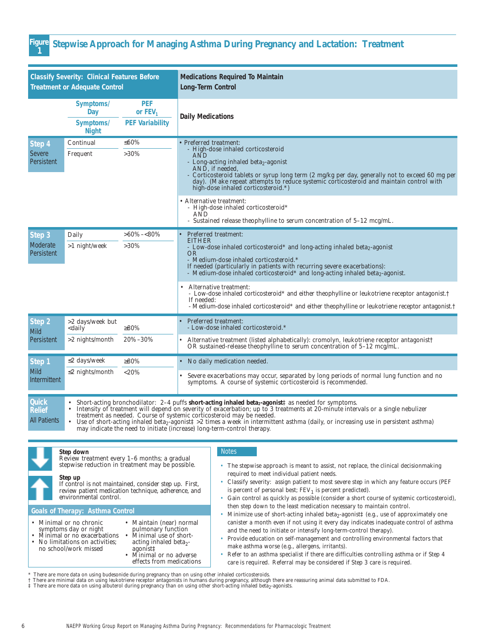#### **Stepwise Approach for Managing Asthma During Pregnancy and Lactation: Treatment Figure 1**

| <b>Classify Severity: Clinical Features Before</b><br><b>Treatment or Adequate Control</b> |                                                                                                                                                                                                                                                                                                                                                                            |                                                   | <b>Medications Required To Maintain</b><br><b>Long-Term Control</b>                                                                                                                                                                                                                                                                                                                                                                                                                                                                                                                                                             |  |  |
|--------------------------------------------------------------------------------------------|----------------------------------------------------------------------------------------------------------------------------------------------------------------------------------------------------------------------------------------------------------------------------------------------------------------------------------------------------------------------------|---------------------------------------------------|---------------------------------------------------------------------------------------------------------------------------------------------------------------------------------------------------------------------------------------------------------------------------------------------------------------------------------------------------------------------------------------------------------------------------------------------------------------------------------------------------------------------------------------------------------------------------------------------------------------------------------|--|--|
|                                                                                            | Symptoms/<br>Day<br>Symptoms/<br><b>Night</b>                                                                                                                                                                                                                                                                                                                              | <b>PEF</b><br>or $FEV1$<br><b>PEF Variability</b> | <b>Daily Medications</b>                                                                                                                                                                                                                                                                                                                                                                                                                                                                                                                                                                                                        |  |  |
| Step 4<br><b>Severe</b><br><b>Persistent</b>                                               | Continual<br>Frequent                                                                                                                                                                                                                                                                                                                                                      | ≤60%<br>$>30\%$                                   | • Preferred treatment:<br>- High-dose inhaled corticosteroid<br><b>AND</b><br>- Long-acting inhaled beta <sub>2</sub> -agonist<br>AND, if needed.<br>Corticosteroid tablets or syrup long term (2 mg/kg per day, generally not to exceed 60 mg per<br>day). (Make repeat attempts to reduce systemic corticosteroid and maintain control with<br>high-dose inhaled corticosteroid.*)<br>• Alternative treatment:<br>- High-dose inhaled corticosteroid*<br>AND<br>Sustained release theophylline to serum concentration of 5-12 mcg/mL.                                                                                         |  |  |
| Step 3<br><b>Moderate</b><br>Persistent                                                    | Daily<br>>1 night/week                                                                                                                                                                                                                                                                                                                                                     | $>60\% - <80\%$<br>$>30\%$                        | Preferred treatment:<br><b>EITHER</b><br>- Low-dose inhaled corticosteroid* and long-acting inhaled beta <sub>2</sub> -agonist<br>OR<br>- Medium-dose inhaled corticosteroid.*<br>If needed (particularly in patients with recurring severe exacerbations):<br>Medium-dose inhaled corticosteroid* and long-acting inhaled beta <sub>2</sub> -agonist.<br>Alternative treatment:<br>- Low-dose inhaled corticosteroid* and either theophylline or leukotriene receptor antagonist. <sup>†</sup><br>If needed:<br>- Medium-dose inhaled corticosteroid* and either theophylline or leukotriene receptor antagonist. <sup>†</sup> |  |  |
| Step 2<br><b>Mild</b><br>Persistent                                                        | >2 days/week but<br><daily<br><math>&gt;2</math> nights/month</daily<br>                                                                                                                                                                                                                                                                                                   | ≥80%<br>20%-30%                                   | Preferred treatment:<br>- Low-dose inhaled corticosteroid.*<br>Alternative treatment (listed alphabetically): cromolyn, leukotriene receptor antagonist†<br>OR sustained-release theophylline to serum concentration of $5-12 \text{ mcg/mL}$ .                                                                                                                                                                                                                                                                                                                                                                                 |  |  |
| Step 1<br><b>Mild</b><br>Intermittent                                                      | $\leq$ 2 days/week<br>$\leq$ nights/month                                                                                                                                                                                                                                                                                                                                  | ≥80%<br>$< 20\%$                                  | No daily medication needed.<br>Severe exacerbations may occur, separated by long periods of normal lung function and no<br>symptoms. A course of systemic corticosteroid is recommended.                                                                                                                                                                                                                                                                                                                                                                                                                                        |  |  |
| <b>Quick</b><br><b>Relief</b><br>All Dotionte                                              | Short-acting bronchodilator: 2-4 puffs short-acting inhaled beta <sub>2</sub> -agonist <sup><math>\uparrow</math></sup> as needed for symptoms.<br>Intensity of treatment will depend on severity of exacerbation; up to 3 treatments at 20-minute intervals or a single nebulizer<br>treatment as needed. Course of systemic corticosteroid may be needed.<br>$2.3 - 1.3$ |                                                   |                                                                                                                                                                                                                                                                                                                                                                                                                                                                                                                                                                                                                                 |  |  |

• Use of short-acting inhaled beta<sub>2</sub>-agonist $\ddagger$  >2 times a week in intermittent asthma (daily, or increasing use in persistent asthma) may indicate the need to initiate (increase) long-term-control therapy. All Patients

**Step down**

## **Notes**

Review treatment every 1–6 months; a gradual stepwise reduction in treatment may be possible.

#### **Step up**

If control is not maintained, consider step up. First, review patient medication technique, adherence, and environmental control.

#### **Goals of Therapy: Asthma Control**

- Minimal or no chronic symptoms day or night • Maintain (near) normal
	- Minimal or no exacerbations pulmonary function Minimal use of shortacting inhaled beta $2$ -
- No limitations on activities; no school/work missed
- 
- The stepwise approach is meant to assist, not replace, the clinical decisionmaking required to meet individual patient needs.
- Classify severity: assign patient to most severe step in which any feature occurs (PEF is percent of personal best;  $FEV<sub>1</sub>$  is percent predicted).
- Gain control as quickly as possible (consider a short course of systemic corticosteroid), then step down to the least medication necessary to maintain control.
- Minimize use of short-acting inhaled beta<sub>2</sub>-agonist $\ddagger$  (e.g., use of approximately one canister a month even if not using it every day indicates inadequate control of asthma and the need to initiate or intensify long-term-control therapy).
- Provide education on self-management and controlling environmental factors that make asthma worse (e.g., allergens, irritants).
- Refer to an asthma specialist if there are difficulties controlling asthma or if Step 4 care is required. Referral may be considered if Step 3 care is required.

There are more data on using budesonide during pregnancy than on using other inhaled corticosteroids.

agonist‡

† There are minimal data on using leukotriene receptor antagonists in humans during pregnancy, although there are reassuring animal data submitted to FDA.<br>‡ There are more data on using albuterol during pregnancy than on u

• Minimal or no adverse effects from medications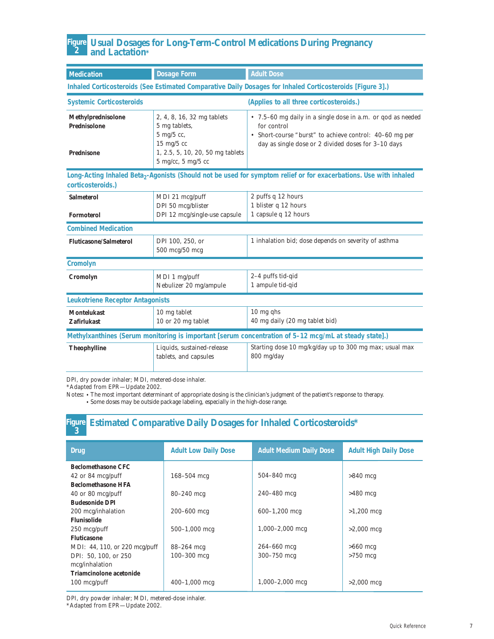#### **Usual Dosages for Long-Term-Control Medications During Pregnancy and Lactation\* Figure 2**

| <b>Medication</b>                                                                                                                                  | <b>Dosage Form</b>                                                                                                                                         | <b>Adult Dose</b>                                                                                                                                                                            |  |  |  |  |
|----------------------------------------------------------------------------------------------------------------------------------------------------|------------------------------------------------------------------------------------------------------------------------------------------------------------|----------------------------------------------------------------------------------------------------------------------------------------------------------------------------------------------|--|--|--|--|
| Inhaled Corticosteroids (See Estimated Comparative Daily Dosages for Inhaled Corticosteroids [Figure 3].)                                          |                                                                                                                                                            |                                                                                                                                                                                              |  |  |  |  |
| <b>Systemic Corticosteroids</b>                                                                                                                    | (Applies to all three corticosteroids.)                                                                                                                    |                                                                                                                                                                                              |  |  |  |  |
| Methylprednisolone<br><b>Prednisolone</b><br><b>Prednisone</b>                                                                                     | 2, 4, 8, 16, 32 mg tablets<br>5 mg tablets,<br>5 mg/5 cc,<br>$15 \text{ mg}/5 \text{ cc}$<br>1, 2.5, 5, 10, 20, 50 mg tablets<br>$5$ mg/cc, $5$ mg/ $5$ cc | • 7.5–60 mg daily in a single dose in a.m. or god as needed<br>for control<br>• Short-course "burst" to achieve control: 40-60 mg per<br>day as single dose or 2 divided doses for 3-10 days |  |  |  |  |
| Long-Acting Inhaled Beta <sub>2</sub> -Agonists (Should not be used for symptom relief or for exacerbations. Use with inhaled<br>corticosteroids.) |                                                                                                                                                            |                                                                                                                                                                                              |  |  |  |  |
| <b>Salmeterol</b><br><b>Formoterol</b>                                                                                                             | MDI 21 mcg/puff<br>DPI 50 mcg/blister<br>DPI 12 mcg/single-use capsule                                                                                     | 2 puffs q 12 hours<br>1 blister q 12 hours<br>1 capsule q 12 hours                                                                                                                           |  |  |  |  |
| <b>Combined Medication</b>                                                                                                                         |                                                                                                                                                            |                                                                                                                                                                                              |  |  |  |  |
| <b>Fluticasone/Salmeterol</b>                                                                                                                      | DPI 100, 250, or<br>500 mcg/50 mcg                                                                                                                         | 1 inhalation bid; dose depends on severity of asthma                                                                                                                                         |  |  |  |  |
| <b>Cromolyn</b>                                                                                                                                    |                                                                                                                                                            |                                                                                                                                                                                              |  |  |  |  |
| Cromolyn                                                                                                                                           | MDI 1 mg/puff<br>Nebulizer 20 mg/ampule                                                                                                                    | 2-4 puffs tid-qid<br>1 ampule tid-qid                                                                                                                                                        |  |  |  |  |
| <b>Leukotriene Receptor Antagonists</b>                                                                                                            |                                                                                                                                                            |                                                                                                                                                                                              |  |  |  |  |
| <b>Montelukast</b><br><b>Zafirlukast</b>                                                                                                           | 10 mg tablet<br>10 or 20 mg tablet                                                                                                                         | 10 mg qhs<br>40 mg daily (20 mg tablet bid)                                                                                                                                                  |  |  |  |  |
| Methylxanthines (Serum monitoring is important [serum concentration of 5-12 mcg/mL at steady state].)                                              |                                                                                                                                                            |                                                                                                                                                                                              |  |  |  |  |
| <b>Theophylline</b>                                                                                                                                | Liquids, sustained-release<br>tablets, and capsules                                                                                                        | Starting dose 10 mg/kg/day up to 300 mg max; usual max<br>800 mg/day                                                                                                                         |  |  |  |  |

DPI, dry powder inhaler; MDI, metered-dose inhaler.

\*Adapted from EPR—Update 2002.

Notes**: •** The most important determinant of appropriate dosing is the clinician's judgment of the patient's response to therapy.

**•** Some doses may be outside package labeling, especially in the high-dose range.

# **Figure Estimated Comparative Daily Dosages for Inhaled Corticosteroids\* <sup>3</sup>**

| <b>Drug</b>                    | <b>Adult Low Daily Dose</b> | <b>Adult Medium Daily Dose</b> | <b>Adult High Daily Dose</b> |
|--------------------------------|-----------------------------|--------------------------------|------------------------------|
| <b>Beclomethasone CFC</b>      |                             |                                |                              |
| 42 or 84 mcg/puff              | $168 - 504$ mcg             | 504-840 mcg                    | $>840$ mcg                   |
| <b>Beclomethasone HFA</b>      |                             |                                |                              |
| $40$ or 80 mcg/puff            | $80 - 240$ mcg              | $240 - 480$ mcg                | $>480$ mcg                   |
| <b>Budesonide DPI</b>          |                             |                                |                              |
| 200 mcg/inhalation             | $200 - 600$ mcg             | $600-1,200$ mcg                | $>1,200$ mcg                 |
| <b>Flunisolide</b>             |                             |                                |                              |
| $250 \text{ mcg/putf}$         | $500-1,000$ mcg             | $1,000-2,000$ mcg              | $>2,000$ mcg                 |
| <b>Fluticasone</b>             |                             |                                |                              |
| MDI: 44, 110, or 220 mcg/puff  | $88 - 264$ mcg              | $264 - 660$ mcg                | $>660$ mcg                   |
| DPI: 50, 100, or 250           | $100 - 300$ mcg             | 300-750 mcg                    | $>750$ mcg                   |
| mcg/inhalation                 |                             |                                |                              |
| <b>Triamcinolone acetonide</b> |                             |                                |                              |
| $100 \text{ mcg/pdf}$          | $400 - 1,000$ mcg           | $1,000-2,000$ mcg              | $>2,000$ mcg                 |
|                                |                             |                                |                              |

DPI, dry powder inhaler; MDI, metered-dose inhaler. \*Adapted from EPR—Update 2002.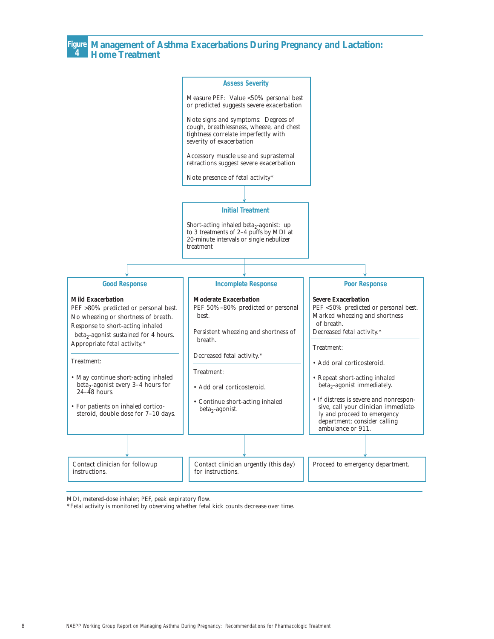**Management of Asthma Exacerbations During Pregnancy and Lactation: Figure Home Treatment 4**



MDI, metered-dose inhaler; PEF, peak expiratory flow.

\*Fetal activity is monitored by observing whether fetal kick counts decrease over time.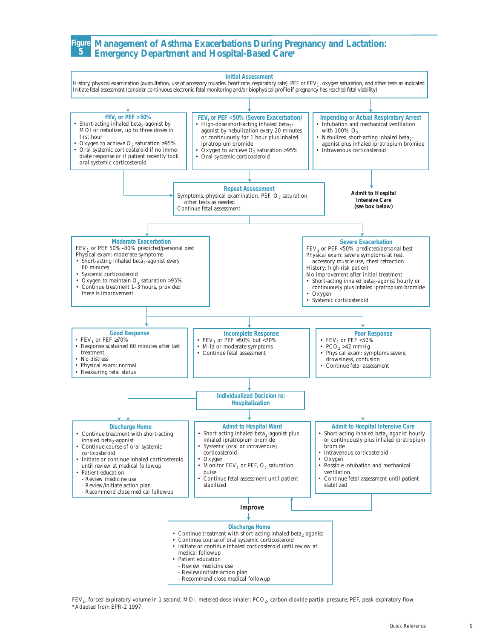#### **Management of Asthma Exacerbations During Pregnancy and Lactation: Figure Emergency Department and Hospital-Based Care\* 5**



FEV<sub>1</sub>, forced expiratory volume in 1 second; MDI, metered-dose inhaler; PCO<sub>2</sub>, carbon dioxide partial pressure; PEF, peak expiratory flow. \*Adapted from EPR-2 1997.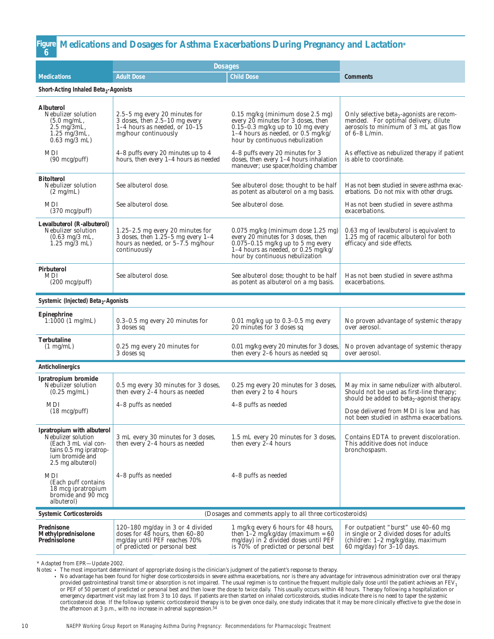#### **Figure Medications and Dosages for Asthma Exacerbations During Pregnancy and Lactation\* 6**

|                                                                                                                                                                | <b>Dosages</b>                                                                                                                                                                                             |                                                                                                                                                                                                                                                                                                                        |                                                                                                                                                                                                                                         |  |  |  |  |
|----------------------------------------------------------------------------------------------------------------------------------------------------------------|------------------------------------------------------------------------------------------------------------------------------------------------------------------------------------------------------------|------------------------------------------------------------------------------------------------------------------------------------------------------------------------------------------------------------------------------------------------------------------------------------------------------------------------|-----------------------------------------------------------------------------------------------------------------------------------------------------------------------------------------------------------------------------------------|--|--|--|--|
| <b>Medications</b>                                                                                                                                             | <b>Adult Dose</b>                                                                                                                                                                                          | <b>Child Dose</b>                                                                                                                                                                                                                                                                                                      | <b>Comments</b>                                                                                                                                                                                                                         |  |  |  |  |
| Short-Acting Inhaled Beta <sub>2</sub> -Agonists                                                                                                               |                                                                                                                                                                                                            |                                                                                                                                                                                                                                                                                                                        |                                                                                                                                                                                                                                         |  |  |  |  |
| Albuterol<br>Nebulizer solution<br>$(5.0$ mg/mL,<br>$2.5 \text{ mg}$ 3mL,<br>$1.25$ mg/3mL,<br>$0.63 \text{ mg}/3 \text{ mL}$<br>MDI<br>$(90 \text{ mcg/pdf})$ | 2.5–5 mg every 20 minutes for<br>3 doses, then $2.5-10$ mg every<br>1-4 hours as needed, or $10-15$<br>mg/hour continuously<br>4-8 puffs every 20 minutes up to 4<br>hours, then every 1-4 hours as needed | $0.15$ mg/kg (minimum dose 2.5 mg)<br>every 20 minutes for 3 doses, then<br>$0.15-0.3$ mg/kg up to 10 mg every<br>1–4 hours as needed, or $0.5 \text{ mg/kg}$<br>hour by continuous nebulization<br>4–8 puffs every 20 minutes for 3<br>doses, then every 1-4 hours inhalation<br>maneuver; use spacer/holding chamber | Only selective beta <sub>2</sub> -agonists are recom-<br>mended. For optimal delivery, dilute<br>aerosols to minimum of 3 mL at gas flow<br>of $6-8$ L/min.<br>As effective as nebulized therapy if patient<br>is able to coordinate.   |  |  |  |  |
| <b>Bitolterol</b><br>Nebulizer solution<br>$(2 \text{ mg/mL})$                                                                                                 | See albuterol dose.                                                                                                                                                                                        | See albuterol dose; thought to be half<br>as potent as albuterol on a mg basis.                                                                                                                                                                                                                                        | Has not been studied in severe asthma exac-<br>erbations. Do not mix with other drugs.                                                                                                                                                  |  |  |  |  |
| MDI<br>$(370 \text{ mcg/putf})$                                                                                                                                | See albuterol dose.                                                                                                                                                                                        | See albuterol dose.                                                                                                                                                                                                                                                                                                    | Has not been studied in severe asthma<br>exacerbations.                                                                                                                                                                                 |  |  |  |  |
| <b>Levalbuterol</b> (R-albuterol)<br>Nebulizer solution<br>$(0.63 \text{ mg}/3 \text{ mL},$<br>$1.25 \text{ mg}/3 \text{ mL}$                                  | $1.25 - 2.5$ mg every 20 minutes for<br>3 doses, then $1.25-5$ mg every $1-4$<br>hours as needed, or $5-\overline{7}$ .5 mg/hour<br>continuously                                                           | $0.075$ mg/kg (minimum dose 1.25 mg)<br>every 20 minutes for 3 doses, then<br>$0.075 - 0.15$ mg/kg up to 5 mg every<br>1–4 hours as needed, or $0.25$ mg/kg/<br>hour by continuous nebulization                                                                                                                        | 0.63 mg of levalbuterol is equivalent to<br>1.25 mg of racemic albuterol for both<br>efficacy and side effects.                                                                                                                         |  |  |  |  |
| <b>Pirbuterol</b><br>MDI<br>$(200 \text{ mcg/putf})$                                                                                                           | See albuterol dose.                                                                                                                                                                                        | See albuterol dose; thought to be half<br>as potent as albuterol on a mg basis.                                                                                                                                                                                                                                        | Has not been studied in severe asthma<br>exacerbations.                                                                                                                                                                                 |  |  |  |  |
| Systemic (Injected) Beta <sub>2</sub> -Agonists                                                                                                                |                                                                                                                                                                                                            |                                                                                                                                                                                                                                                                                                                        |                                                                                                                                                                                                                                         |  |  |  |  |
| <b>Epinephrine</b><br>$1:1000$ (1 mg/mL)                                                                                                                       | $0.3-0.5$ mg every 20 minutes for<br>3 doses sq                                                                                                                                                            | 0.01 mg/kg up to 0.3-0.5 mg every<br>20 minutes for 3 doses sq                                                                                                                                                                                                                                                         | No proven advantage of systemic therapy<br>over aerosol.                                                                                                                                                                                |  |  |  |  |
| Terbutaline<br>$(1 \text{ mg/mL})$                                                                                                                             | 0.25 mg every 20 minutes for<br>3 doses sq                                                                                                                                                                 | 0.01 mg/kg every 20 minutes for 3 doses,<br>then every 2-6 hours as needed sq                                                                                                                                                                                                                                          | No proven advantage of systemic therapy<br>over aerosol.                                                                                                                                                                                |  |  |  |  |
| Anticholinergics                                                                                                                                               |                                                                                                                                                                                                            |                                                                                                                                                                                                                                                                                                                        |                                                                                                                                                                                                                                         |  |  |  |  |
| Ipratropium bromide<br>Nebulizer solution<br>$(0.25$ mg/mL)<br>MDI<br>$(18 \text{ mcg/pdf})$                                                                   | 0.5 mg every 30 minutes for 3 doses,<br>then every $2-4$ hours as needed<br>4–8 puffs as needed                                                                                                            | 0.25 mg every 20 minutes for 3 doses,<br>then every 2 to 4 hours<br>4-8 puffs as needed                                                                                                                                                                                                                                | May mix in same nebulizer with albuterol.<br>Should not be used as first-line therapy;<br>should be added to beta <sub>2</sub> -agonist therapy.<br>Dose delivered from MDI is low and has<br>not been studied in asthma exacerbations. |  |  |  |  |
| <b>Ipratropium with albuterol</b><br>Nebulizer solution<br>(Each 3 mL vial con-<br>tains 0.5 mg ipratrop-<br>ium bromide and<br>2.5 mg albuterol)              | 3 mL every 30 minutes for 3 doses,<br>then every 2–4 hours as needed                                                                                                                                       | 1.5 mL every 20 minutes for 3 doses,<br>then every 2–4 hours                                                                                                                                                                                                                                                           | Contains EDTA to prevent discoloration.<br>This additive does not induce<br>bronchospasm.                                                                                                                                               |  |  |  |  |
| MDI<br>(Each puff contains)<br>18 mcg ipratropium<br>bromide and 90 mcg<br>albuterol)                                                                          | 4-8 puffs as needed                                                                                                                                                                                        | 4-8 puffs as needed                                                                                                                                                                                                                                                                                                    |                                                                                                                                                                                                                                         |  |  |  |  |
| <b>Systemic Corticosteroids</b><br>(Dosages and comments apply to all three corticosteroids)                                                                   |                                                                                                                                                                                                            |                                                                                                                                                                                                                                                                                                                        |                                                                                                                                                                                                                                         |  |  |  |  |
| Prednisone<br>Methylprednisolone<br>Prednisolone                                                                                                               | 120-180 mg/day in 3 or 4 divided<br>doses for $48$ hours, then $60-80$<br>mg/day until PEF reaches 70%<br>of predicted or personal best                                                                    | 1 mg/kg every 6 hours for 48 hours,<br>then $1-\overline{2}$ mg/kg/day (maximum = 60<br>$mg/day)$ in $\bar{2}$ divided doses until PEF<br>is 70% of predicted or personal best                                                                                                                                         | For outpatient "burst" use 40–60 mg<br>in single or 2 divided doses for adults<br>(children: $1-2$ mg/kg/day, maximum<br>60 mg/day) for $3-10$ days.                                                                                    |  |  |  |  |

\* Adapted from EPR—Update 2002.

Notes: • The most important determinant of appropriate dosing is the clinician's judgment of the patient's response to therapy.

**•** No advantage has been found for higher dose corticosteroids in severe asthma exacerbations, nor is there any advantage for intravenous administration over oral therapy provided gastrointestinal transit time or absorption is not impaired. The usual regimen is to continue the frequent multiple daily dose until the patient achieves an FEV<sub>1</sub><br>or PEF of 50 percent of predicted or personal bes emergency department visit may last from 3 to 10 days. If patients are then started on inhaled corticosteroids, studies indicate there is no need to taper the systemic corticosteroid dose. If the followup systemic corticosteroid therapy is to be given once daily, one study indicates that it may be more clinically effective to give the dose in<br>the afternoon at 3 p.m., with no increase in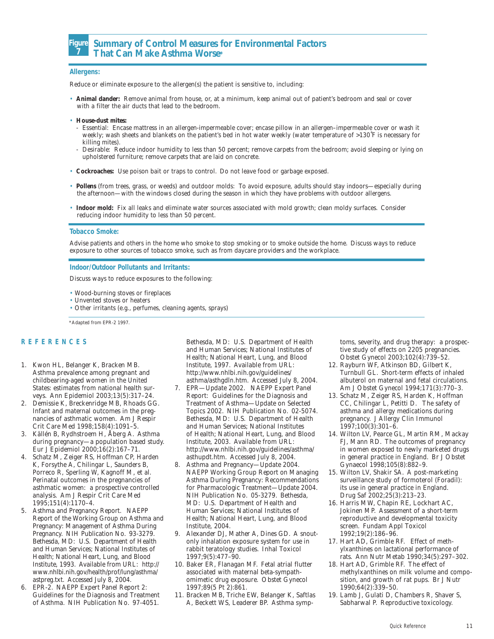#### **Summary of Control Measures for Environmental Factors Figure That Can Make Asthma Worse\* 7**

#### **Allergens:**

Reduce or eliminate exposure to the allergen(s) the patient is sensitive to, including:

- **Animal dander:** Remove animal from house, or, at a minimum, keep animal out of patient's bedroom and seal or cover with a filter the air ducts that lead to the bedroom.
- **House-dust mites:**
	- Essential: Encase mattress in an allergen-impermeable cover; encase pillow in an allergen–impermeable cover or wash it weekly; wash sheets and blankets on the patient's bed in hot water weekly (water temperature of >130˚F is necessary for killing mites).
	- Desirable: Reduce indoor humidity to less than 50 percent; remove carpets from the bedroom; avoid sleeping or lying on upholstered furniture; remove carpets that are laid on concrete.
- **Cockroaches:** Use poison bait or traps to control. Do not leave food or garbage exposed.
- **Pollens** (from trees, grass, or weeds) and outdoor molds: To avoid exposure, adults should stay indoors—especially during the afternoon—with the windows closed during the season in which they have problems with outdoor allergens.
- **Indoor mold:** Fix all leaks and eliminate water sources associated with mold growth; clean moldy surfaces. Consider reducing indoor humidity to less than 50 percent.

#### **Tobacco Smoke:**

Advise patients and others in the home who smoke to stop smoking or to smoke outside the home. Discuss ways to reduce exposure to other sources of tobacco smoke, such as from daycare providers and the workplace.

#### **Indoor/Outdoor Pollutants and Irritants:**

Discuss ways to reduce exposures to the following:

- Wood-burning stoves or fireplaces
- Unvented stoves or heaters
- Other irritants (e.g., perfumes, cleaning agents, sprays)

\*Adapted from EPR-2 1997.

#### **REFERENCES**

- 1. Kwon HL, Belanger K, Bracken MB. Asthma prevalence among pregnant and childbearing-aged women in the United States: estimates from national health surveys. *Ann Epidemiol* 2003;13(5):317–24.
- 2. Demissie K, Breckenridge MB, Rhoads GG. Infant and maternal outcomes in the pregnancies of asthmatic women. *Am J Respir Crit Care Med* 1998;158(4):1091–5.
- 3. Källén B, Rydhstroem H, Åberg A. Asthma during pregnancy—a population based study. *Eur J Epidemiol* 2000;16(2):167–71.
- 4. Schatz M, Zeiger RS, Hoffman CP, Harden K, Forsythe A, Chilingar L, Saunders B, Porreco R, Sperling W, Kagnoff M, et al. Perinatal outcomes in the pregnancies of asthmatic women: a prospective controlled analysis. *Am J Respir Crit Care Med*  1995;151(4):1170–4.
- 5. Asthma and Pregnancy Report. NAEPP Report of the Working Group on Asthma and Pregnancy: Management of Asthma During Pregnancy. NIH Publication No. 93-3279. Bethesda, MD: U.S. Department of Health and Human Services; National Institutes of Health; National Heart, Lung, and Blood Institute, 1993. Available from URL: http:// www.nhlbi.nih.gov/health/prof/lung/asthma/ astpreg.txt. Accessed July 8, 2004.
- 6. EPR-2. NAEPP Expert Panel Report 2: Guidelines for the Diagnosis and Treatment of Asthma. NIH Publication No. 97-4051.

Bethesda, MD: U.S. Department of Health and Human Services; National Institutes of Health; National Heart, Lung, and Blood Institute, 1997. Available from URL: http://www.nhlbi.nih.gov/guidelines/ asthma/asthgdln.htm. Accessed July 8, 2004.

- 7. EPR—Update 2002. NAEPP Expert Panel Report: Guidelines for the Diagnosis and Treatment of Asthma—Update on Selected Topics 2002. NIH Publication No. 02-5074. Bethesda, MD: U.S. Department of Health and Human Services; National Institutes of Health; National Heart, Lung, and Blood Institute, 2003. Available from URL: http://www.nhlbi.nih.gov/guidelines/asthma/ asthupdt.htm. Accessed July 8, 2004.
- 8. Asthma and Pregnancy—Update 2004. NAEPP Working Group Report on Managing Asthma During Pregnancy: Recommendations for Pharmacologic Treatment—Update 2004. NIH Publication No. 05-3279. Bethesda, MD: U.S. Department of Health and Human Services; National Institutes of Health; National Heart, Lung, and Blood Institute, 2004.
- 9. Alexander DJ, Mather A, Dines GD. A snoutonly inhalation exposure system for use in rabbit teratology studies. *Inhal Toxicol* 1997;9(5):477–90.
- 10. Baker ER, Flanagan MF. Fetal atrial flutter associated with maternal beta-sympathomimetic drug exposure. *Obstet Gynecol* 1997;89(5 Pt 2):861.
- 11. Bracken MB, Triche EW, Belanger K, Saftlas A, Beckett WS, Leaderer BP. Asthma symp-

toms, severity, and drug therapy: a prospective study of effects on 2205 pregnancies. *Obstet Gynecol* 2003;102(4):739–52.

- 12. Rayburn WF, Atkinson BD, Gilbert K, Turnbull GL. Short-term effects of inhaled albuterol on maternal and fetal circulations. *Am J Obstet Gynecol* 1994;171(3):770–3.
- 13. Schatz M, Zeiger RS, Harden K, Hoffman CC, Chilingar L, Petitti D. The safety of asthma and allergy medications during pregnancy. *J Allergy Clin Immunol*  $1997;100(3):301-6.$
- 14. Wilton LV, Pearce GL, Martin RM, Mackay FJ, Mann RD. The outcomes of pregnancy in women exposed to newly marketed drugs in general practice in England. *Br J Obstet Gynaecol* 1998;105(8):882–9.
- 15. Wilton LV, Shakir SA. A post-marketing surveillance study of formoterol (Foradil): its use in general practice in England. *Drug Saf* 2002;25(3):213–23.
- 16. Harris MW, Chapin RE, Lockhart AC, Jokinen MP. Assessment of a short-term reproductive and developmental toxicity screen. *Fundam Appl Toxicol*  1992;19(2):186–96.
- 17. Hart AD, Grimble RF. Effect of methylxanthines on lactational performance of rats. *Ann Nutr Metab* 1990;34(5):297–302.
- 18. Hart AD, Grimble RF. The effect of methylxanthines on milk volume and composition, and growth of rat pups. *Br J Nutr* 1990;64(2):339–50.
- 19. Lamb J, Gulati D, Chambers R, Shaver S, Sabharwal P. Reproductive toxicology.